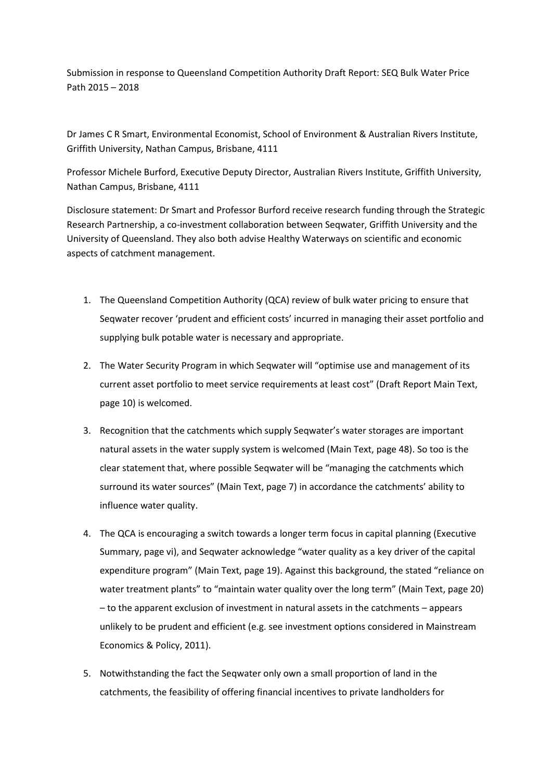Submission in response to Queensland Competition Authority Draft Report: SEQ Bulk Water Price Path 2015 – 2018

Dr James C R Smart, Environmental Economist, School of Environment & Australian Rivers Institute, Griffith University, Nathan Campus, Brisbane, 4111

Professor Michele Burford, Executive Deputy Director, Australian Rivers Institute, Griffith University, Nathan Campus, Brisbane, 4111

Disclosure statement: Dr Smart and Professor Burford receive research funding through the Strategic Research Partnership, a co-investment collaboration between Seqwater, Griffith University and the University of Queensland. They also both advise Healthy Waterways on scientific and economic aspects of catchment management.

- 1. The Queensland Competition Authority (QCA) review of bulk water pricing to ensure that Seqwater recover 'prudent and efficient costs' incurred in managing their asset portfolio and supplying bulk potable water is necessary and appropriate.
- 2. The Water Security Program in which Seqwater will "optimise use and management of its current asset portfolio to meet service requirements at least cost" (Draft Report Main Text, page 10) is welcomed.
- 3. Recognition that the catchments which supply Seqwater's water storages are important natural assets in the water supply system is welcomed (Main Text, page 48). So too is the clear statement that, where possible Seqwater will be "managing the catchments which surround its water sources" (Main Text, page 7) in accordance the catchments' ability to influence water quality.
- 4. The QCA is encouraging a switch towards a longer term focus in capital planning (Executive Summary, page vi), and Seqwater acknowledge "water quality as a key driver of the capital expenditure program" (Main Text, page 19). Against this background, the stated "reliance on water treatment plants" to "maintain water quality over the long term" (Main Text, page 20) – to the apparent exclusion of investment in natural assets in the catchments – appears unlikely to be prudent and efficient (e.g. see investment options considered in Mainstream Economics & Policy, 2011).
- 5. Notwithstanding the fact the Seqwater only own a small proportion of land in the catchments, the feasibility of offering financial incentives to private landholders for